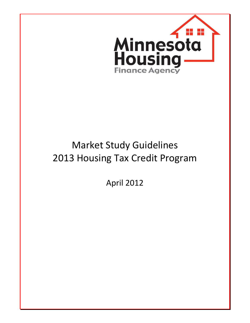

# Market Study Guidelines 2013 Housing Tax Credit Program

April 2012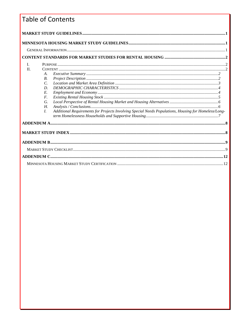# Table of Contents

| L<br>$\Pi$<br>A.<br><i>B</i> .<br>C.<br>D.<br>E.<br>F.<br>G.<br>Н.<br>Additional Requirements for Projects Involving Special Needs Populations, Housing for Homeless/Long-<br>$\overline{L}$ |  |  |  |
|----------------------------------------------------------------------------------------------------------------------------------------------------------------------------------------------|--|--|--|
|                                                                                                                                                                                              |  |  |  |
|                                                                                                                                                                                              |  |  |  |
|                                                                                                                                                                                              |  |  |  |
|                                                                                                                                                                                              |  |  |  |
|                                                                                                                                                                                              |  |  |  |
|                                                                                                                                                                                              |  |  |  |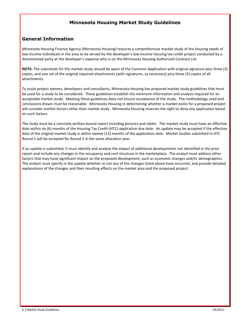## Minnesota Housing Market Study Guidelines

### General Information

Minnesota Housing Finance Agency (Minnesota Housing) requires a comprehensive market study of the housing needs of low-income individuals in the area to be served by the developer's low-income housing tax credit project conducted by a disinterested party at the developer's expense who is on the Minnesota Housing Authorized Contract List.

NOTE: The submittals for the market study should be apart of the Common Application with original signature plus three (3) copies, and one set of the original required attachments (with signatures, as necessary) plus three (3) copies of all attachments.

To assist project owners, developers and consultants, Minnesota Housing has prepared market study guidelines that must be used for a study to be considered. These guidelines establish the minimum information and analysis required for an acceptable market study. Meeting these guidelines does not ensure acceptance of the study. The methodology used and conclusions drawn must be reasonable. Minnesota Housing in determining whether a market exists for a proposed project will consider market factors other than market study. Minnesota Housing reserves the right to deny any application based on such factors.

The study must be a concisely-written bound report including pictures and tables. The market study must have an effective date within six (6) months of the Housing Tax Credit (HTC) application due date. An update may be accepted if the effective date of the original market study is within twelve (12) months of the application date. Market studies submitted in HTC Round 1 will be accepted for Round 2 in the same allocation year.

If an update is submitted, it must identify and analyze the impact of additional developments not identified in the prior report and include any changes in the occupancy and rent structure in the marketplace. The analyst must address other factors that may have significant impact on the proposed development, such as economic changes and/or demographics. The analyst must specify in the update whether or not any of the changes listed above have occurred, and provide detailed explanations of the changes and their resulting effects on the market area and the proposed project.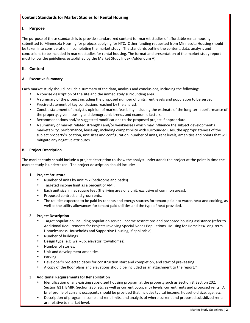#### Content Standards for Market Studies for Rental Housing

#### I. Purpose

The purpose of these standards is to provide standardized content for market studies of affordable rental housing submitted to Minnesota Housing for projects applying for HTC. Other funding requested from Minnesota Housing should be taken into consideration in completing the market study. The standards outline the content, data, analysis and conclusions to be included in market studies for rental housing. The format and presentation of the market study report must follow the guidelines established by the Market Study Index (Addendum A).

#### II. Content

#### A. Executive Summary

Each market study should include a summary of the data, analysis and conclusions, including the following:

- A concise description of the site and the immediately surrounding area.
- A summary of the project including the proposed number of units, rent levels and population to be served.
- Precise statement of key conclusions reached by the analyst.
- Concise statement of analyst's opinion of market feasibility including the estimate of the long-term performance of the property, given housing and demographic trends and economic factors.
- Recommendations and/or suggested modifications to the proposed project if appropriate.
- A summary of market related strengths and/or weaknesses which may influence the subject development's marketability, performance, lease-up, including compatibility with surrounded uses, the appropriateness of the subject property's location, unit sizes and configuration, number of units, rent levels, amenities and points that will mitigate any negative attributes.

#### B. Project Description

The market study should include a project description to show the analyst understands the project at the point in time the market study is undertaken. The project description should include:

#### **1.** Project Structure

- Number of units by unit mix (bedrooms and baths).
- Targeted income limit as a percent of AMI.
- Each unit size in net square feet (the living area of a unit, exclusive of common areas).
- Proposed contract and gross rents.
- The utilities expected to be paid by tenants and energy sources for tenant paid hot water, heat and cooking, as well as the utility allowances for tenant paid utilities and the type of heat provided.

#### 2. Project Description

- Target population, including population served, income restrictions and proposed housing assistance (refer to Additional Requirements for Projects Involving Special Needs Populations, Housing for Homeless/Long-term Homelessness Households and Supportive Housing, if applicable).
- Number of buildings.
- Design type (e.g. walk-up, elevator, townhomes).
- Number of stories.
- Unit and development amenities.
- Parking.
- Developer's projected dates for construction start and completion, and start of pre-leasing.
- A copy of the floor plans and elevations should be included as an attachment to the report.\*

#### 3. Additional Requirements for Rehabilitation

- Identification of any existing subsidized housing program at the property such as Section 8, Section 202, Section 811, BMIR, Section 236, etc, as well as current occupancy levels, current rents and proposed rents. A brief profile of current occupants should be provided that includes typical income, household size, age, etc.
- Description of program income and rent limits, and analysis of where current and proposed subsidized rents are relative to market level.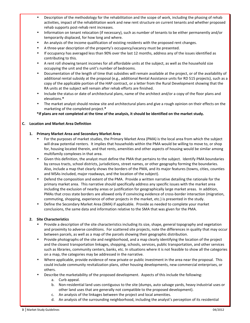- Description of the methodology for the rehabilitation and the scope of work, including the phasing of rehab activities, impact of the rehabilitation work and new rent structure on current tenants and whether proposed rehab supports post-rehab rent increases.
- Information on tenant relocation (if necessary), such as number of tenants to be either permanently and/or temporarily displaced, for how long and where.
- An analysis of the income qualification of existing residents with the proposed rent changes.
- A three-year description of the property's occupancy/vacancy must be presented.
- If occupancy has averaged less than 90% over the last 12 months, address any of the issues identified as contributing to this.
- A rent roll showing tenant incomes for all affordable units at the subject, as well as the household size occupying the unit and the unit's number of bedrooms.
- Documentation of the length of time that subsidies will remain available at the project, or of the availability of additional rental subsidy at the proposal (e.g., additional Rental Assistance units for RD 515 projects), such as a copy of the applicable portion of the HAP contract, or a letter from the Rural Development showing that the RA units at the subject will remain after rehab efforts are finished.
- Include the status or date of architectural plans, name of the architect and/or a copy of the floor plans and elevations.\*
- The market analyst should review site and architectural plans and give a rough opinion on their effects on the marketing of the completed project.\*

\*If plans are not completed at the time of the analysis, it should be identified on the market study.

#### C. Location and Market Area Definition

#### 1. Primary Market Area and Secondary Market Area

- For the purposes of market studies, the Primary Market Area (PMA) is the local area from which the subject will draw potential renters. It implies that households within the PMA would be willing to move to, or shop for, housing located therein, and that rents, amenities and other aspects of housing would be similar among multifamily complexes in that area.
- Given this definition, the analyst must define the PMA that pertains to the subject. Identify PMA boundaries by census tracts, school districts, jurisdictions, street names, or other geography forming the boundaries. Also, include a map that clearly shows the borders of the PMA, and its major features (towns, cities, counties and MSAs included, major roadways, and the location of the subject).
- Defend the composition and extent of the PMA. Provide a written narrative detailing the rationale for the primary market area. This narrative should specifically address any specific issues with the market area including the exclusion of nearby areas or justification for geographically large market areas. In addition, PMAs that cross state borders are allowed only if convincing evidence of cross-border interaction (migration, commuting, shopping, experience of other projects in the market, etc.) is presented in the study.
- Define the Secondary Market Area (SMA) if applicable. Provide as needed to complete your market conclusions, the same data and information relative to the SMA that was given for the PMA.

#### 2. Site Characteristics

- Provide a description of the site characteristics including its size, shape, general topography and vegetation and proximity to adverse conditions. For scattered site projects, note the differences in quality that may occur between parcels, as well as a map of the parcels showing their geographic distribution.
- Provide photographs of the site and neighborhood, and a map clearly identifying the location of the project and the closest transportation linkages, shopping, schools, services, public transportation, and other services such as libraries, community centers, banks, etc. In situations where it is not feasible to show all the categories on a map, the categories may be addressed in the narrative.
- Where applicable, provide evidence of new private or public investment in the area near the proposal. This could include community revitalization plans, other housing developments, new commercial enterprises, or others.
- Describe the marketability of the proposed development. Aspects of this include the following:
	- a. Curb appeal.
	- b. Non-residential land uses contiguous to the site (dumps, auto salvage yards, heavy industrial uses or other land uses that are generally not compatible to the proposed development).
	- c. An analysis of the linkages between the project and local amenities.
	- d. An analysis of the surrounding neighborhood, including the analyst's perception of its residential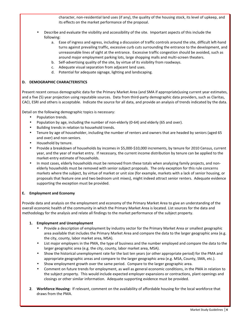character, non-residential land uses (if any), the quality of the housing stock, its level of upkeep, and its effects on the market performance of the proposal.

- Describe and evaluate the visibility and accessibility of the site. Important aspects of this include the following:
	- a. Ease of ingress and egress, including a discussion of traffic controls around the site, difficult left-hand turns against prevailing traffic, excessive curb cuts surrounding the entrance to the development, and unreasonable lines of sight at the entrance. Excessive traffic congestion should be avoided, such as around major employment parking lots, large shopping malls and multi-screen theaters.
	- b. Self-advertising quality of the site, by virtue of its visibility from roadways.
	- c. Adequate visual separation from adjacent land uses.
	- d. Potential for adequate signage, lighting and landscaping.

#### D. DEMOGRAPHIC CHARACTERISTICS

Present recent census demographic data for the Primary Market Area (and SMA if appropriate)using current year estimates, and a five (5) year projection using reputable sources. Data from third-party demographic data providers, such as Claritas, CACI, ESRI and others is acceptable. Indicate the source for all data, and provide an analysis of trends indicated by the data.

Detail on the following demographic topics is necessary:

- Population trends.
- Population by age, including the number of non-elderly (0-64) and elderly (65 and over).
- Building trends in relation to household trends.
- Tenure by age of householder, including the number of renters and owners that are headed by seniors (aged 65 and over) and non-seniors.
- Household by tenure.
- Provide a breakdown of households by incomes in \$5,000-\$10,000 increments, by tenure for 2010 Census, current year, and the year of market entry. If necessary, the current income distribution by tenure can be applied to the market-entry estimate of households.
- In most cases, elderly households must be removed from these totals when analyzing family projects, and nonelderly households must be removed with senior subject proposals. The only exception for this rule concerns markets where the subject, by virtue of market or unit size (for example, markets with a lack of senior housing, or proposals that feature one and two bedroom unit mixes), might indeed attract senior renters. Adequate evidence supporting the exception must be provided.

#### E. Employment and Economy

Provide data and analysis on the employment and economy of the Primary Market Area to give an understanding of the overall economic health of the community in which the Primary Market Area is located. List sources for the data and methodology for the analysis and relate all findings to the market performance of the subject property.

#### 1. Employment and Unemployment

- Provide a description of employment by industry sector for the Primary Market Area or smallest geographic area available that includes the Primary Market Area and compare the data to the larger geographic area (e.g. the city, county, labor market area, MSA).
- List major employers in the PMA, the type of business and the number employed and compare the data to the larger geographic area (e.g. the city, county, labor market area, MSA).
- Show the historical unemployment rate for the last ten years (or other appropriate period) for the PMA and appropriate geographic areas and compare to the larger geographic area (e.g. MSA, County, SMA, etc.).
- Show employment growth over the same period. Compare to the larger geographic area.
- Comment on future trends for employment, as well as general economic conditions, in the PMA in relation to the subject property. This would include expected employer expansions or contractions, plant openings and closings or other similar information. Adequate supporting evidence must be provided.
- 2. Workforce Housing: If relevant, comment on the availability of affordable housing for the local workforce that draws from the PMA.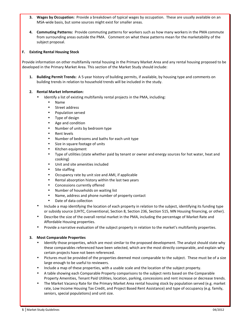- 3. Wages by Occupation: Provide a breakdown of typical wages by occupation. These are usually available on an MSA-wide basis, but some sources might exist for smaller areas.
- 4. Commuting Patterns: Provide commuting patterns for workers such as how many workers in the PMA commute from surrounding areas outside the PMA. Comment on what these patterns mean for the marketability of the subject proposal.

#### F. Existing Rental Housing Stock

Provide information on other multifamily rental housing in the Primary Market Area and any rental housing proposed to be developed in the Primary Market Area. This section of the Market Study should include:

1. Building Permit Trends: A 5-year history of building permits, if available, by housing type and comments on building trends in relation to household trends will be included in the study.

#### 2. Rental Market Information:

- Identify a list of existing multifamily rental projects in the PMA, including:
	- Name
	- Street address
	- Population served
	- Type of design
	- Age and condition
	- Number of units by bedroom type
	- Rent levels
	- Number of bedrooms and baths for each unit type
	- Size in square footage of units
	- Kitchen equipment
	- Type of utilities (state whether paid by tenant or owner and energy sources for hot water, heat and cooking)
	- Unit and site amenities included
	- Site staffing
	- Occupancy rate by unit size and AMI, if applicable
	- Rental absorption history within the last two years
	- Concessions currently offered
	- Number of households on waiting list
	- Name, address and phone number of property contact
	- Date of data collection
- Include a map identifying the location of each property in relation to the subject, identifying its funding type or subsidy source (LIHTC, Conventional, Section 8, Section 236, Section 515, MN Housing financing, or other).
- Describe the size of the overall rental market in the PMA, including the percentage of Market Rate and Affordable Housing properties.
- Provide a narrative evaluation of the subject property in relation to the market's multifamily properties.

#### 3. Most Comparable Properties

- Identify those properties, which are most similar to the proposed development. The analyst should state why these comparables referenced have been selected, which are the most directly comparable, and explain why certain projects have not been referenced.
- Pictures must be provided of the properties deemed most comparable to the subject. These must be of a size large enough to be useful to reviewers.
- Include a map of these properties, with a usable scale and the location of the subject property.
- A table showing each Comparable Property comparisons to the subject rents based on the Comparable Property Amenities, Tenant Paid Utilities, location, parking, concessions and rent increase or decrease trends.
- The Market Vacancy Rate for the Primary Market Area rental housing stock by population served (e.g. market rate, Low Income Housing Tax Credit, and Project Based Rent Assistance) and type of occupancy (e.g. family, seniors, special populations) and unit size.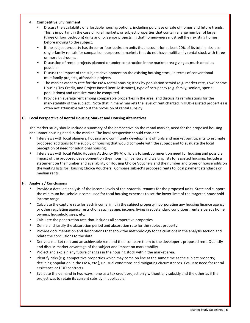#### 4. Competitive Environment

- Discuss the availability of affordable housing options, including purchase or sale of homes and future trends. This is important in the case of rural markets, or subject properties that contain a large number of larger (three or four bedroom) units and for senior projects, in that homeowners must sell their existing homes before moving to the subject.
- If the subject property has three- or four-bedroom units that account for at least 20% of its total units, use single-family rentals for comparison purposes in markets that do not have multifamily rental stock with three or more bedrooms.
- Discussion of rental projects planned or under construction in the market area giving as much detail as possible.
- Discuss the impact of the subject development on the existing housing stock, in terms of conventional multifamily projects, affordable projects
- The market vacancy rate for the PMA rental housing stock by population served (e.g. market rate, Low Income Housing Tax Credit, and Project Based Rent Assistance), type of occupancy (e.g. family, seniors, special populations) and unit size must be computed.
- Provide an average rent among comparable properties in the area, and discuss its ramifications for the marketability of the subject. Note that in many markets the level of rent charged in HUD-assisted properties is often not attainable without the provision of rental subsidy.

#### G. Local Perspective of Rental Housing Market and Housing Alternatives

The market study should include a summary of the perspective on the rental market, need for the proposed housing and unmet housing need in the market. The local perspective should consider:

- Interviews with local planners, housing and community development officials and market participants to estimate proposed additions to the supply of housing that would compete with the subject and to evaluate the local perception of need for additional housing.
- Interviews with local Public Housing Authority (PHA) officials to seek comment on need for housing and possible impact of the proposed development on their housing inventory and waiting lists for assisted housing. Include a statement on the number and availability of Housing Choice Vouchers and the number and types of households on the waiting lists for Housing Choice Vouchers. Compare subject's proposed rents to local payment standards or median rents.

#### H. Analysis / Conclusions

- Provide a detailed analysis of the income levels of the potential tenants for the proposed units. State and support the minimum household income used for total housing expenses to set the lower limit of the targeted household income range.
- Calculate the capture rate for each income limit in the subject property incorporating any housing finance agency or other regulating agency restrictions such as age, income, living in substandard conditions, renters versus home owners, household sizes, etc.
- Calculate the penetration rate that includes all competitive properties.
- Define and justify the absorption period and absorption rate for the subject property.
- Provide documentation and descriptions that show the methodology for calculations in the analysis section and relate the conclusions to the data.
- Derive a market rent and an achievable rent and then compare them to the developer's proposed rent. Quantify and discuss market advantage of the subject and impact on marketability.
- Project and explain any future changes in the housing stock within the market area.
- Identify risks (e.g. competitive properties which may come on line at the same time as the subject property; declining population in the PMA, etc.), unusual conditions and mitigating circumstances. Evaluate need for rental assistance or HUD contracts.
- Evaluate the demand in two ways: one as a tax credit project only without any subsidy and the other as if the project was to retain its current subsidy, if applicable.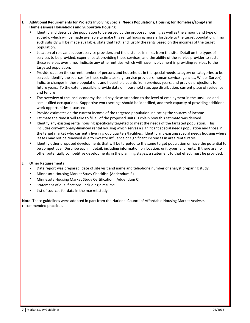- I. Additional Requirements for Projects Involving Special Needs Populations, Housing for Homeless/Long-term Homelessness Households and Supportive Housing
	- Identify and describe the population to be served by the proposed housing as well as the amount and type of subsidy, which will be made available to make this rental housing more affordable to the target population. If no such subsidy will be made available, state that fact, and justify the rents based on the incomes of the target population.
	- Location of relevant support service providers and the distance in miles from the site. Detail on the types of services to be provided, experience at providing these services, and the ability of the service provider to sustain these services over time. Indicate any other entities, which will have involvement in providing services to the targeted population.
	- Provide data on the current number of persons and households in the special needs category or categories to be served. Identify the sources for these estimates (e.g. service providers, human service agencies, Wilder Survey). Indicate changes in these populations and household counts from previous years, and provide projections for future years. To the extent possible, provide data on household size, age distribution, current place of residence and tenure
	- The overview of the local economy should pay close attention to the level of employment in the unskilled and semi-skilled occupations. Supportive work settings should be identified, and their capacity of providing additional work opportunities discussed.
	- Provide estimates on the current income of the targeted population indicating the sources of income.
	- Estimate the time it will take to fill all of the proposed units. Explain how this estimate was derived.
	- Identify any existing rental housing specifically targeted to meet the needs of the targeted population. This includes conventionally-financed rental housing which serves a significant special needs population and those in the target market who currently live in group quarters/facilities. Identify any existing special needs housing where leases may not be renewed due to investor influence or significant increases in area rental rates.
	- Identify other proposed developments that will be targeted to the same target population or have the potential to be competitive. Describe each in detail, including information on location, unit types, and rents. If there are no other potentially competitive developments in the planning stages, a statement to that effect must be provided.

#### J. Other Requirements

- Date report was prepared, date of site visit and name and telephone number of analyst preparing study.
- Minnesota Housing Market Study Checklist. (Addendum B)
- Minnesota Housing Market Study Certification. (Addendum C)
- Statement of qualifications, including a resume.
- List of sources for data in the market study.

Note: These guidelines were adopted in part from the National Council of Affordable Housing Market Analysts recommended practices.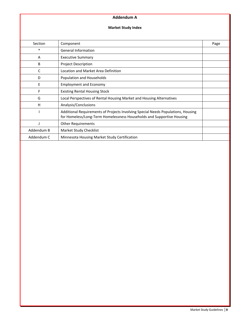#### Addendum A

#### Market Study Index

| Section    | Component                                                                                                                                                 | Page |
|------------|-----------------------------------------------------------------------------------------------------------------------------------------------------------|------|
| $\ast$     | <b>General Information</b>                                                                                                                                |      |
| A          | <b>Executive Summary</b>                                                                                                                                  |      |
| B          | <b>Project Description</b>                                                                                                                                |      |
| C          | Location and Market Area Definition                                                                                                                       |      |
| D          | Population and Households                                                                                                                                 |      |
| E          | <b>Employment and Economy</b>                                                                                                                             |      |
| F          | <b>Existing Rental Housing Stock</b>                                                                                                                      |      |
| G          | Local Perspectives of Rental Housing Market and Housing Alternatives                                                                                      |      |
| н          | Analysis/Conclusions                                                                                                                                      |      |
|            | Additional Requirements of Projects Involving Special Needs Populations, Housing<br>for Homeless/Long-Term Homelessness Households and Supportive Housing |      |
|            | <b>Other Requirements</b>                                                                                                                                 |      |
| Addendum B | Market Study Checklist                                                                                                                                    |      |
| Addendum C | Minnesota Housing Market Study Certification                                                                                                              |      |
|            |                                                                                                                                                           |      |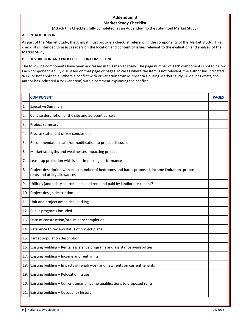#### Addendum B Market Study Checklist

(Attach this Checklist, fully completed, as an Addendum to the submitted Market Study)

#### A. INTRODUCTION

As part of the Market Study, the Analyst must provide a checklist referencing the components of the Market Study. This checklist is intended to assist readers on the location and content of issues relevant to the evaluation and analysis of the Market Study.

#### B. DESCRIPTION AND PROCEDURE FOR COMPLETING

The following components have been addressed in this market study. The page number of each component is noted below. Each component is fully discussed on that page or pages. In cases where the item is not relevant, the author has indicated 'N/A' or not applicable. Where a conflict with or variation from Minnesota Housing Market Study Guidelines exists, the author has indicated a 'V' (variation) with a comment explaining the conflict.

|     | <b>COMPONENT</b>                                                                                                                  | <b>PAGES</b> |
|-----|-----------------------------------------------------------------------------------------------------------------------------------|--------------|
| 1.  | <b>Executive Summary</b>                                                                                                          |              |
| 2.  | Concise description of the site and adjacent parcels                                                                              |              |
| 3.  | Project summary                                                                                                                   |              |
| 4.  | Precise statement of key conclusions                                                                                              |              |
| 5.  | Recommendations and/or modification to project discussion                                                                         |              |
| 6.  | Market strengths and weaknesses impacting project                                                                                 |              |
| 7.  | Lease-up projection with issues impacting performance                                                                             |              |
| 8.  | Project description with exact number of bedrooms and baths proposed, income limitation, proposed<br>rents and utility allowances |              |
| 9.  | Utilities (and utility sources) included rent and paid by landlord or tenant?                                                     |              |
| 10. | Project design description                                                                                                        |              |
| 11. | Unit and project amenities; parking                                                                                               |              |
| 12. | Public programs included                                                                                                          |              |
| 13. | Date of construction/preliminary completion                                                                                       |              |
| 14. | Reference to review/status of project plans                                                                                       |              |
| 15. | Target population description                                                                                                     |              |
| 16. | Existing building - Rental assistance programs and assistance availabilities                                                      |              |
| 17. | Existing building - Income and rent limits                                                                                        |              |
| 18. | Existing building - Impacts of rehab work and new rents on current tenants                                                        |              |
| 19. | Existing building - Relocation issues                                                                                             |              |
| 20. | Existing building - Current tenant income qualifications to proposed rents                                                        |              |
| 21. | Existing building - Occupancy history                                                                                             |              |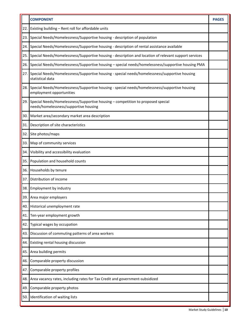|       | <b>COMPONENT</b>                                                                                                              | <b>PAGES</b> |
|-------|-------------------------------------------------------------------------------------------------------------------------------|--------------|
| 22.1  | Existing building - Rent roll for affordable units                                                                            |              |
|       | 23. Special Needs/Homelessness/Supportive housing - description of population                                                 |              |
| 24.1  | Special Needs/Homelessness/Supportive housing - description of rental assistance available                                    |              |
| 25.1  | Special Needs/Homelessness/Supportive housing - description and location of relevant support services                         |              |
| 26.1  | Special Needs/Homelessness/Supportive housing - special needs/homelessness/supportive housing PMA                             |              |
| 27.1  | Special Needs/Homelessness/Supportive housing - special needs/homelessness/supportive housing<br>statistical data             |              |
|       | 28. Special Needs/Homelessness/Supportive housing - special needs/homelessness/supportive housing<br>employment opportunities |              |
|       | 29. Special Needs/Homelessness/Supportive housing - competition to proposed special<br>needs/homelessness/supportive housing  |              |
|       | 30. Market area/secondary market area description                                                                             |              |
| 31.1  | Description of site characteristics                                                                                           |              |
| 32.1  | Site photos/maps                                                                                                              |              |
| 33. I | Map of community services                                                                                                     |              |
| 34. l | Visibility and accessibility evaluation                                                                                       |              |
| 35.   | Population and household counts                                                                                               |              |
|       | 36. Households by tenure                                                                                                      |              |
| 37.1  | Distribution of income                                                                                                        |              |
|       | 38. Employment by industry                                                                                                    |              |
|       | 39. Area major employers                                                                                                      |              |
| 40. I | Historical unemployment rate                                                                                                  |              |
| 41.   | Ten-year employment growth                                                                                                    |              |
| 42.   | Typical wages by occupation                                                                                                   |              |
| 43.1  | Discussion of commuting patterns of area workers                                                                              |              |
| 44.   | Existing rental housing discussion                                                                                            |              |
| 45.   | Area building permits                                                                                                         |              |
| 46.   | Comparable property discussion                                                                                                |              |
| 47.   | Comparable property profiles                                                                                                  |              |
| 48.   | Area vacancy rates, including rates for Tax Credit and government-subsidized                                                  |              |
| 49.   | Comparable property photos                                                                                                    |              |
|       | 50. Identification of waiting lists                                                                                           |              |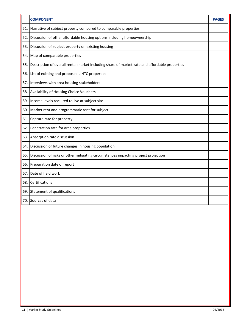|       | <b>COMPONENT</b>                                                                              | <b>PAGES</b> |
|-------|-----------------------------------------------------------------------------------------------|--------------|
| 51.   | Narrative of subject property compared to comparable properties                               |              |
| 52.   | Discussion of other affordable housing options including homeownership                        |              |
| 53.   | Discussion of subject property on existing housing                                            |              |
| 54.   | Map of comparable properties                                                                  |              |
| 55.   | Description of overall rental market including share of market-rate and affordable properties |              |
| 56.   | List of existing and proposed LIHTC properties                                                |              |
| 57.   | Interviews with area housing stakeholders                                                     |              |
| 58.   | Availability of Housing Choice Vouchers                                                       |              |
| 59.   | Income levels required to live at subject site                                                |              |
| 60. I | Market rent and programmatic rent for subject                                                 |              |
| 61    | Capture rate for property                                                                     |              |
| 62.   | Penetration rate for area properties                                                          |              |
| 63.   | Absorption rate discussion                                                                    |              |
| 64.   | Discussion of future changes in housing population                                            |              |
| 65.   | Discussion of risks or other mitigating circumstances impacting project projection            |              |
| 66.   | Preparation date of report                                                                    |              |
| 67.   | Date of field work                                                                            |              |
| 68.   | Certifications                                                                                |              |
| 69.   | Statement of qualifications                                                                   |              |
| 70.   | Sources of data                                                                               |              |